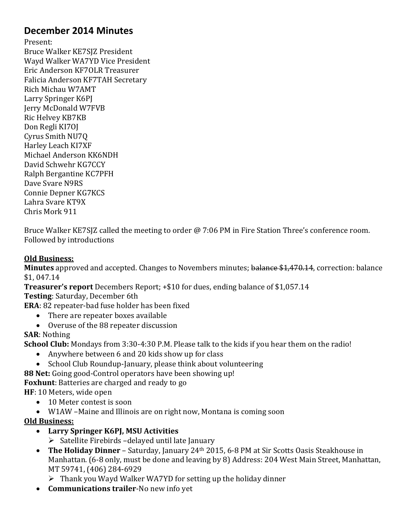## **December 2014 Minutes**

Present:

Bruce Walker KE7SJZ President Wayd Walker WA7YD Vice President Eric Anderson KF7OLR Treasurer Falicia Anderson KF7TAH Secretary Rich Michau W7AMT Larry Springer K6PJ Jerry McDonald W7FVB Ric Helvey KB7KB Don Regli KI7OJ Cyrus Smith NU7Q Harley Leach KI7XF Michael Anderson KK6NDH David Schwehr KG7CCY Ralph Bergantine KC7PFH Dave Svare N9RS Connie Depner KG7KCS Lahra Svare KT9X Chris Mork 911

Bruce Walker KE7SJZ called the meeting to order @ 7:06 PM in Fire Station Three's conference room. Followed by introductions

## **Old Business:**

**Minutes** approved and accepted. Changes to Novembers minutes; balance \$1,470.14, correction: balance \$1, 047.14

**Treasurer's report** Decembers Report; +\$10 for dues, ending balance of \$1,057.14

**Testing**: Saturday, December 6th

**ERA**: 82 repeater-bad fuse holder has been fixed

- There are repeater boxes available
- Overuse of the 88 repeater discussion

**SAR**: Nothing

**School Club:** Mondays from 3:30-4:30 P.M. Please talk to the kids if you hear them on the radio!

- Anywhere between 6 and 20 kids show up for class
- School Club Roundup-January, please think about volunteering

**88 Net:** Going good-Control operators have been showing up!

**Foxhunt**: Batteries are charged and ready to go

**HF**: 10 Meters, wide open

- 10 Meter contest is soon
- W1AW –Maine and Illinois are on right now, Montana is coming soon

## **Old Business:**

- **Larry Springer K6PJ, MSU Activities**
	- $\triangleright$  Satellite Firebirds –delayed until late January
- **The Holiday Dinner** Saturday, January 24th 2015, 6-8 PM at Sir Scotts Oasis Steakhouse in Manhattan. (6-8 only, must be done and leaving by 8) Address: 204 West Main Street, Manhattan, MT 59741, (406) 284-6929
	- $\triangleright$  Thank you Wayd Walker WA7YD for setting up the holiday dinner
- **Communications trailer**-No new info yet